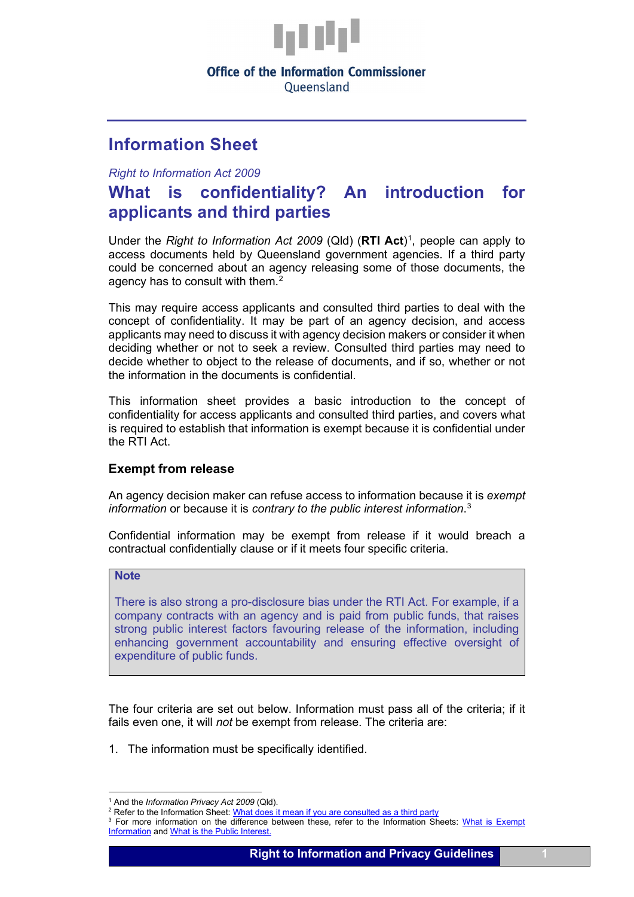

## **Office of the Information Commissioner**

Oueensland

## **Information Sheet**

*Right to Information Act 2009*

# **What is confidentiality? An introduction for applicants and third parties**

Under the *Right to Information Act 2009* (Qld) (RTI Act)<sup>[1](#page-0-0)</sup>, people can apply to access documents held by Queensland government agencies. If a third party could be concerned about an agency releasing some of those documents, the agency has to consult with them. $2$ 

This may require access applicants and consulted third parties to deal with the concept of confidentiality. It may be part of an agency decision, and access applicants may need to discuss it with agency decision makers or consider it when deciding whether or not to seek a review. Consulted third parties may need to decide whether to object to the release of documents, and if so, whether or not the information in the documents is confidential.

This information sheet provides a basic introduction to the concept of confidentiality for access applicants and consulted third parties, and covers what is required to establish that information is exempt because it is confidential under the RTI Act.

## **Exempt from release**

An agency decision maker can refuse access to information because it is *exempt information* or because it is *contrary to the public interest information*. [3](#page-0-2)

Confidential information may be exempt from release if it would breach a contractual confidentially clause or if it meets four specific criteria.

## **Note**

There is also strong a pro-disclosure bias under the RTI Act. For example, if a company contracts with an agency and is paid from public funds, that raises strong public interest factors favouring release of the information, including enhancing government accountability and ensuring effective oversight of expenditure of public funds.

The four criteria are set out below. Information must pass all of the criteria; if it fails even one, it will *not* be exempt from release. The criteria are:

1. The information must be specifically identified.

<sup>1</sup> And the *Information Privacy Act 2009* (Qld).

<span id="page-0-1"></span><span id="page-0-0"></span><sup>&</sup>lt;sup>2</sup> Refer to the Information Sheet[: What does it mean if you are consulted as a third party](https://www.oic.qld.gov.au/guidelines/for-community-members/information-sheets-access-and-amendment/what-does-it-mean-if-you-are-consulted-as-a-third-party)

<span id="page-0-2"></span><sup>&</sup>lt;sup>3</sup> For more information on the difference between these, refer to the Information Sheets: What is Exempt [Information](https://www.oic.qld.gov.au/guidelines/for-community-members/information-sheets-access-and-amendment/what-is-exempt-information) and [What is the Public Interest.](https://www.oic.qld.gov.au/guidelines/for-community-members/information-sheets-access-and-amendment/what-is-the-public-interest)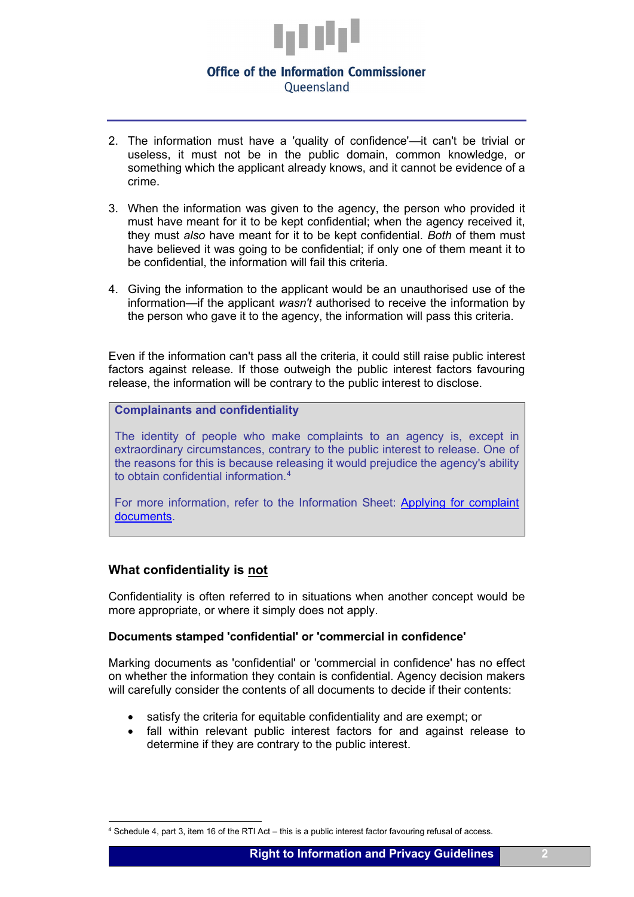

## **Office of the Information Commissioner** Oueensland

- 2. The information must have a 'quality of confidence'—it can't be trivial or useless, it must not be in the public domain, common knowledge, or something which the applicant already knows, and it cannot be evidence of a crime.
- 3. When the information was given to the agency, the person who provided it must have meant for it to be kept confidential; when the agency received it, they must *also* have meant for it to be kept confidential. *Both* of them must have believed it was going to be confidential; if only one of them meant it to be confidential, the information will fail this criteria.
- 4. Giving the information to the applicant would be an unauthorised use of the information—if the applicant *wasn't* authorised to receive the information by the person who gave it to the agency, the information will pass this criteria.

Even if the information can't pass all the criteria, it could still raise public interest factors against release. If those outweigh the public interest factors favouring release, the information will be contrary to the public interest to disclose.

**Complainants and confidentiality**

The identity of people who make complaints to an agency is, except in extraordinary circumstances, contrary to the public interest to release. One of the reasons for this is because releasing it would prejudice the agency's ability to obtain confidential information. [4](#page-1-0)

For more information, refer to the Information Sheet: Applying for complaint [documents.](https://www.oic.qld.gov.au/guidelines/for-community-members/information-sheets-access-and-amendment/applying-for-complaint-documents)

## **What confidentiality is not**

Confidentiality is often referred to in situations when another concept would be more appropriate, or where it simply does not apply.

#### **Documents stamped 'confidential' or 'commercial in confidence'**

Marking documents as 'confidential' or 'commercial in confidence' has no effect on whether the information they contain is confidential. Agency decision makers will carefully consider the contents of all documents to decide if their contents:

- satisfy the criteria for equitable confidentiality and are exempt; or
- fall within relevant public interest factors for and against release to determine if they are contrary to the public interest.

<span id="page-1-0"></span><sup>4</sup> Schedule 4, part 3, item 16 of the RTI Act – this is a public interest factor favouring refusal of access.